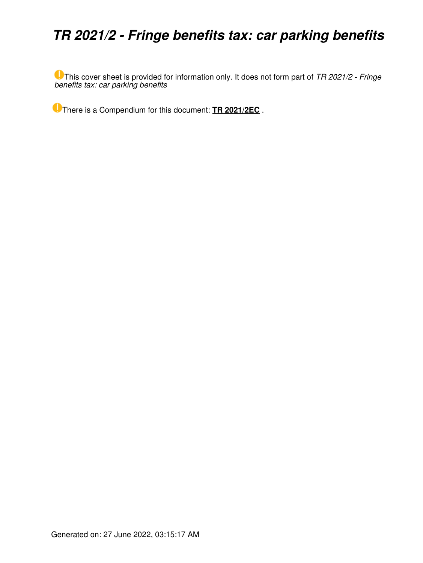## *TR 2021/2 - Fringe benefits tax: car parking benefits*

This cover sheet is provided for information only. It does not form part of *TR 2021/2 - Fringe benefits tax: car parking benefits*

There is a Compendium for this document: **[TR 2021/2EC](https://www.ato.gov.au/law/view/document?LocID=%22CTR%2FTR2021EC2%2FNAT%2FATO%2F00001%22&PiT=99991231235958)** .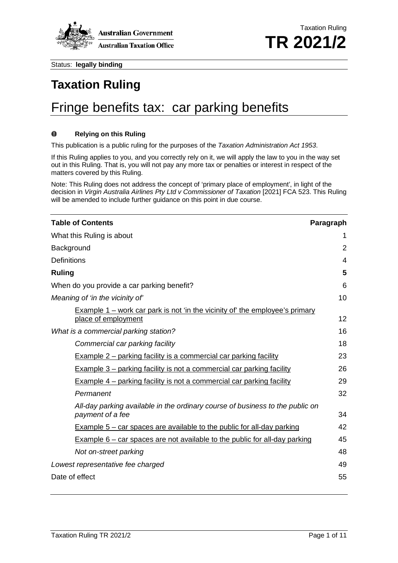

# **Taxation Ruling** Fringe benefits tax: car parking benefits

#### $\bf{0}$ **Relying on this Ruling**

This publication is a public ruling for the purposes of the *Taxation Administration Act 1953*.

If this Ruling applies to you, and you correctly rely on it, we will apply the law to you in the way set out in this Ruling. That is, you will not pay any more tax or penalties or interest in respect of the matters covered by this Ruling.

Note: This Ruling does not address the concept of 'primary place of employment', in light of the decision in *Virgin Australia Airlines Pty Ltd v Commissioner of Taxation* [2021] FCA 523. This Ruling will be amended to include further guidance on this point in due course.

| <b>Table of Contents</b>                                                                                   | Paragraph      |
|------------------------------------------------------------------------------------------------------------|----------------|
| What this Ruling is about                                                                                  | 1              |
| Background                                                                                                 | 2              |
| <b>Definitions</b>                                                                                         | $\overline{4}$ |
| <b>Ruling</b>                                                                                              | 5              |
| When do you provide a car parking benefit?                                                                 | 6              |
| Meaning of 'in the vicinity of'                                                                            | 10             |
| <b>Example 1 – work car park is not 'in the vicinity of' the employee's primary</b><br>place of employment | 12             |
| What is a commercial parking station?                                                                      | 16             |
| Commercial car parking facility                                                                            | 18             |
| <b>Example 2 – parking facility is a commercial car parking facility</b>                                   | 23             |
| <b>Example 3 – parking facility is not a commercial car parking facility</b>                               | 26             |
| <b>Example 4 – parking facility is not a commercial car parking facility</b>                               | 29             |
| Permanent                                                                                                  | 32             |
| All-day parking available in the ordinary course of business to the public on<br>payment of a fee          | 34             |
| Example $5$ – car spaces are available to the public for all-day parking                                   | 42             |
| <b>Example 6 – car spaces are not available to the public for all-day parking</b>                          | 45             |
| Not on-street parking                                                                                      | 48             |
| Lowest representative fee charged                                                                          | 49             |
| Date of effect                                                                                             | 55             |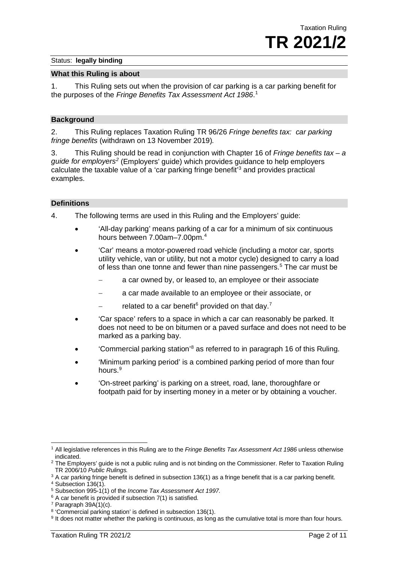#### **What this Ruling is about**

1. This Ruling sets out when the provision of car parking is a car parking benefit for the purposes of the *Fringe Benefits Tax Assessment Act 1986*. [1](#page-2-0)

#### **Background**

2. This Ruling replaces Taxation Ruling TR 96/26 *Fringe benefits tax: car parking fringe benefits* (withdrawn on 13 November 2019)*.*

3. This Ruling should be read in conjunction with Chapter 16 of *Fringe benefits tax – a guide for employers[2](#page-2-1)* (Employers' guide) which provides guidance to help employers calculate the taxable value of a 'car parking fringe benefit' [3](#page-2-2) and provides practical examples.

#### **Definitions**

4. The following terms are used in this Ruling and the Employers' guide:

- 'All-day parking' means parking of a car for a minimum of six continuous hours between 7.00am*–*7.00pm.[4](#page-2-3)
- 'Car' means a motor-powered road vehicle (including a motor car, sports utility vehicle, van or utility, but not a motor cycle) designed to carry a load of less than one tonne and fewer than nine passengers.<sup>[5](#page-2-4)</sup> The car must be
	- a car owned by, or leased to, an employee or their associate
	- a car made available to an employee or their associate, or
	- related to a car benefit<sup>[6](#page-2-5)</sup> provided on that day.<sup>[7](#page-2-6)</sup>
- 'Car space' refers to a space in which a car can reasonably be parked. It does not need to be on bitumen or a paved surface and does not need to be marked as a parking bay.
- Commercial parking station<sup>'[8](#page-2-7)</sup> as referred to in paragraph 16 of this Ruling.
- 'Minimum parking period' is a combined parking period of more than four hours[.9](#page-2-8)
- 'On-street parking' is parking on a street, road, lane, thoroughfare or footpath paid for by inserting money in a meter or by obtaining a voucher.

<span id="page-2-0"></span><sup>1</sup> All legislative references in this Ruling are to the *Fringe Benefits Tax Assessment Act 1986* unless otherwise indicated.

<span id="page-2-1"></span><sup>&</sup>lt;sup>2</sup> The Employers' guide is not a public ruling and is not binding on the Commissioner. Refer to Taxation Ruling TR 2006/10 *Public Rulings.*

<span id="page-2-2"></span> $3$  A car parking fringe benefit is defined in subsection 136(1) as a fringe benefit that is a car parking benefit.

<span id="page-2-3"></span><sup>4</sup> Subsection 136(1).

<sup>5</sup> Subsection 995-1(1) of the *Income Tax Assessment Act 1997.*

<span id="page-2-5"></span><span id="page-2-4"></span> $6$  A car benefit is provided if subsection 7(1) is satisfied.

<span id="page-2-6"></span> $7$  Paragraph 39A(1)(c).

<span id="page-2-7"></span><sup>8</sup> 'Commercial parking station' is defined in subsection 136(1).

<span id="page-2-8"></span><sup>&</sup>lt;sup>9</sup> It does not matter whether the parking is continuous, as long as the cumulative total is more than four hours.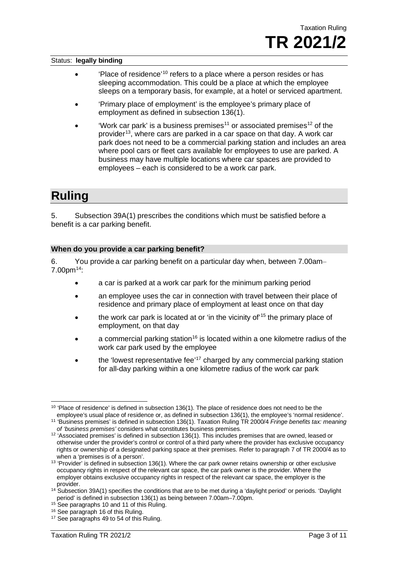- 'Place of residence<sup>'[10](#page-3-0)</sup> refers to a place where a person resides or has sleeping accommodation. This could be a place at which the employee sleeps on a temporary basis, for example, at a hotel or serviced apartment.
- 'Primary place of employment' is the employee's primary place of employment as defined in subsection 136(1).
- 'Work car park' is a business premises<sup>[11](#page-3-1)</sup> or associated premises<sup>[12](#page-3-2)</sup> of the provider<sup>[13](#page-3-3)</sup>, where cars are parked in a car space on that day. A work car park does not need to be a commercial parking station and includes an area where pool cars or fleet cars available for employees to use are parked. A business may have multiple locations where car spaces are provided to employees – each is considered to be a work car park.

### **Ruling**

5. Subsection 39A(1) prescribes the conditions which must be satisfied before a benefit is a car parking benefit.

#### **When do you provide a car parking benefit?**

6. You provide a car parking benefit on a particular day when, between 7.00am– 7.00pm[14](#page-3-4):

- a car is parked at a work car park for the minimum parking period
- an employee uses the car in connection with travel between their place of residence and primary place of employment at least once on that day
- the work car park is located at or 'in the vicinity of'<sup>[15](#page-3-5)</sup> the primary place of employment, on that day
- a commercial parking station<sup>[16](#page-3-6)</sup> is located within a one kilometre radius of the work car park used by the employee
- the 'lowest representative fee'<sup>[17](#page-4-0)</sup> charged by any commercial parking station for all-day parking within a one kilometre radius of the work car park

 $10$  'Place of residence' is defined in subsection 136(1). The place of residence does not need to be the employee's usual place of residence or, as defined in subsection 136(1), the employee's 'normal residence'.

<span id="page-3-0"></span><sup>11</sup> 'Business premises' is defined in subsection 136(1). Taxation Ruling TR 2000/4 *Fringe benefits tax: meaning of 'business premises'* considers what constitutes business premises.

<span id="page-3-2"></span><span id="page-3-1"></span><sup>12</sup> 'Associated premises' is defined in subsection 136(1). This includes premises that are owned, leased or otherwise under the provider's control or control of a third party where the provider has exclusive occupancy rights or ownership of a designated parking space at their premises. Refer to paragraph 7 of TR 2000/4 as to when a 'premises is of a person'.

<span id="page-3-3"></span><sup>&</sup>lt;sup>13</sup> 'Provider' is defined in subsection 136(1). Where the car park owner retains ownership or other exclusive occupancy rights in respect of the relevant car space, the car park owner is the provider. Where the employer obtains exclusive occupancy rights in respect of the relevant car space, the employer is the provider.

<sup>&</sup>lt;sup>14</sup> Subsection 39A(1) specifies the conditions that are to be met during a 'daylight period' or periods. 'Daylight period' is defined in subsection 136(1) as being between 7.00am*–*7.00pm.

<span id="page-3-4"></span><sup>&</sup>lt;sup>15</sup> See paragraphs 10 and 11 of this Ruling.

<span id="page-3-5"></span><sup>16</sup> See paragraph 16 of this Ruling.

<span id="page-3-6"></span><sup>&</sup>lt;sup>17</sup> See paragraphs 49 to 54 of this Ruling.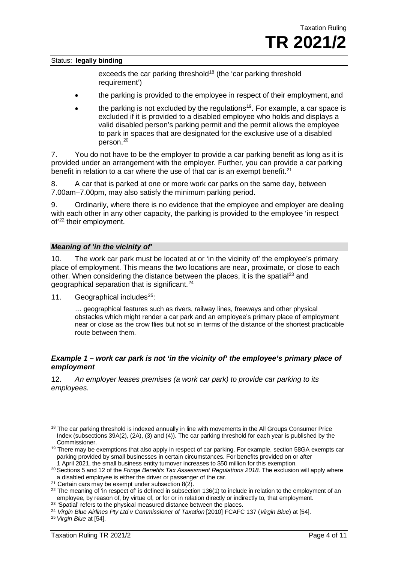exceeds the car parking threshold<sup>[18](#page-4-1)</sup> (the 'car parking threshold requirement')

- the parking is provided to the employee in respect of their employment, and
- the parking is not excluded by the regulations<sup>[19](#page-4-2)</sup>. For example, a car space is excluded if it is provided to a disabled employee who holds and displays a valid disabled person's parking permit and the permit allows the employee to park in spaces that are designated for the exclusive use of a disabled person.[20](#page-4-3)

7. You do not have to be the employer to provide a car parking benefit as long as it is provided under an arrangement with the employer. Further, you can provide a car parking benefit in relation to a car where the use of that car is an exempt benefit.<sup>[21](#page-4-4)</sup>

8. A car that is parked at one or more work car parks on the same day, between 7.00am–7.00pm, may also satisfy the minimum parking period.

9. Ordinarily, where there is no evidence that the employee and employer are dealing with each other in any other capacity, the parking is provided to the employee 'in respect of' [22](#page-4-5) their employment.

#### *Meaning of 'in the vicinity of'*

10. The work car park must be located at or 'in the vicinity of' the employee's primary place of employment. This means the two locations are near, proximate, or close to each other. When considering the distance between the places, it is the spatial<sup>23</sup> and geographical separation that is significant.[24](#page-4-7)

11. Geographical includes $25$ :

… geographical features such as rivers, railway lines, freeways and other physical obstacles which might render a car park and an employee's primary place of employment near or close as the crow flies but not so in terms of the distance of the shortest practicable route between them.

#### *Example 1 – work car park is not 'in the vicinity of' the employee's primary place of employment*

12. *An employer leases premises (a work car park) to provide car parking to its employees.*

<span id="page-4-1"></span><span id="page-4-0"></span><sup>&</sup>lt;sup>18</sup> The car parking threshold is indexed annually in line with movements in the All Groups Consumer Price Index (subsections 39A(2), (2A), (3) and (4)). The car parking threshold for each year is published by the Commissioner.

<span id="page-4-2"></span><sup>&</sup>lt;sup>19</sup> There may be exemptions that also apply in respect of car parking. For example, section 58GA exempts car parking provided by small businesses in certain circumstances. For benefits provided on or after 1 April 2021, the small business entity turnover increases to \$50 million for this exemption.

<span id="page-4-3"></span><sup>20</sup> Sections 5 and 12 of the *Fringe Benefits Tax Assessment Regulations 2018*. The exclusion will apply where a disabled employee is either the driver or passenger of the car.

<span id="page-4-4"></span> $21$  Certain cars may be exempt under subsection 8(2).

<span id="page-4-5"></span> $22$  The meaning of 'in respect of' is defined in subsection 136(1) to include in relation to the employment of an employee, by reason of, by virtue of, or for or in relation directly or indirectly to, that employment.

<span id="page-4-6"></span><sup>&</sup>lt;sup>23</sup> 'Spatial' refers to the physical measured distance between the places.

<span id="page-4-7"></span><sup>&</sup>lt;sup>24</sup> Virgin Blue Airlines Pty Ltd v Commissioner of Taxation [2010] FCAFC 137 (Virgin Blue) at [54].

<span id="page-4-8"></span><sup>25</sup> *Virgin Blue* at [54].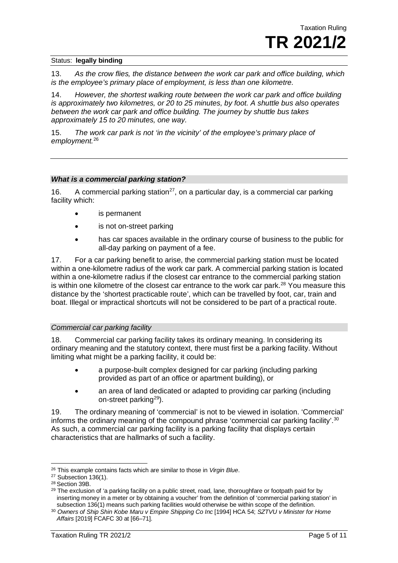13. *As the crow flies, the distance between the work car park and office building, which is the employee's primary place of employment, is less than one kilometre.*

14. *However, the shortest walking route between the work car park and office building is approximately two kilometres, or 20 to 25 minutes, by foot. A shuttle bus also operates between the work car park and office building. The journey by shuttle bus takes approximately 15 to 20 minutes, one way.*

15. *The work car park is not 'in the vicinity' of the employee's primary place of employment.*[26](#page-5-0)

#### *What is a commercial parking station?*

<span id="page-5-5"></span>16. A commercial parking station<sup>[27](#page-5-1)</sup>, on a particular day, is a commercial car parking facility which:

- is permanent
- is not on-street parking
- has car spaces available in the ordinary course of business to the public for all-day parking on payment of a fee.

17. For a car parking benefit to arise, the commercial parking station must be located within a one-kilometre radius of the work car park. A commercial parking station is located within a one-kilometre radius if the closest car entrance to the commercial parking station is within one kilometre of the closest car entrance to the work car park.<sup>[28](#page-5-2)</sup> You measure this distance by the 'shortest practicable route', which can be travelled by foot, car, train and boat. Illegal or impractical shortcuts will not be considered to be part of a practical route.

#### *Commercial car parking facility*

18. Commercial car parking facility takes its ordinary meaning. In considering its ordinary meaning and the statutory context, there must first be a parking facility. Without limiting what might be a parking facility, it could be:

- a purpose-built complex designed for car parking (including parking provided as part of an office or apartment building), or
- an area of land dedicated or adapted to providing car parking (including on-street parkin[g29](#page-5-3)).

19. The ordinary meaning of 'commercial' is not to be viewed in isolation. 'Commercial' informs the ordinary meaning of the compound phrase 'commercial car parking facility'.<sup>[30](#page-5-4)</sup> As such, a commercial car parking facility is a parking facility that displays certain characteristics that are hallmarks of such a facility.

<sup>26</sup> This example contains facts which are similar to those in *Virgin Blue*.

<span id="page-5-1"></span><span id="page-5-0"></span><sup>27</sup> Subsection 136(1).

<span id="page-5-2"></span><sup>28</sup> Section 39B.

<span id="page-5-3"></span><sup>&</sup>lt;sup>29</sup> The exclusion of 'a parking facility on a public street, road, lane, thoroughfare or footpath paid for by inserting money in a meter or by obtaining a voucher' from the definition of 'commercial parking station' in subsection 136(1) means such parking facilities would otherwise be within scope of the definition.

<span id="page-5-4"></span><sup>30</sup> *Owners of Ship Shin Kobe Maru v Empire Shipping Co Inc* [1994] HCA 54; *SZTVU v Minister for Home Affairs* [2019] FCAFC 30 at [66–71].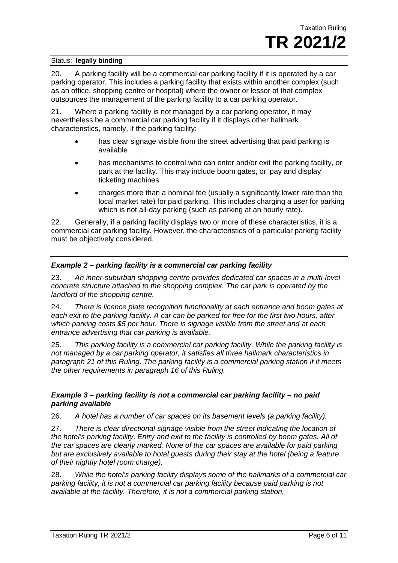20. A parking facility will be a commercial car parking facility if it is operated by a car parking operator. This includes a parking facility that exists within another complex (such as an office, shopping centre or hospital) where the owner or lessor of that complex outsources the management of the parking facility to a car parking operator.

<span id="page-6-0"></span>21. Where a parking facility is not managed by a car parking operator, it may nevertheless be a commercial car parking facility if it displays other hallmark characteristics, namely, if the parking facility:

- has clear signage visible from the street advertising that paid parking is available
- has mechanisms to control who can enter and/or exit the parking facility, or park at the facility. This may include boom gates, or 'pay and display' ticketing machines
- charges more than a nominal fee (usually a significantly lower rate than the local market rate) for paid parking. This includes charging a user for parking which is not all-day parking (such as parking at an hourly rate).

22. Generally, if a parking facility displays two or more of these characteristics, it is a commercial car parking facility. However, the characteristics of a particular parking facility must be objectively considered.

### *Example 2 – parking facility is a commercial car parking facility*

23. *An inner-suburban shopping centre provides dedicated car spaces in a multi-level concrete structure attached to the shopping complex. The car park is operated by the landlord of the shopping centre.*

24. *There is licence plate recognition functionality at each entrance and boom gates at each exit to the parking facility. A car can be parked for free for the first two hours, after which parking costs \$5 per hour. There is signage visible from the street and at each entrance advertising that car parking is available.*

25. *This parking facility is a commercial car parking facility. While the parking facility is not managed by a car parking operator, it satisfies all three hallmark characteristics in paragraph [21](#page-6-0) of this Ruling. The parking facility is a commercial parking station if it meets the other requirements in paragraph [16](#page-5-5) of this Ruling.*

### *Example 3 – parking facility is not a commercial car parking facility – no paid parking available*

26. *A hotel has a number of car spaces on its basement levels (a parking facility).*

27. *There is clear directional signage visible from the street indicating the location of the hotel's parking facility. Entry and exit to the facility is controlled by boom gates. All of the car spaces are clearly marked. None of the car spaces are available for paid parking but are exclusively available to hotel guests during their stay at the hotel (being a feature of their nightly hotel room charge).*

28. *While the hotel's parking facility displays some of the hallmarks of a commercial car parking facility, it is not a commercial car parking facility because paid parking is not available at the facility. Therefore, it is not a commercial parking station.*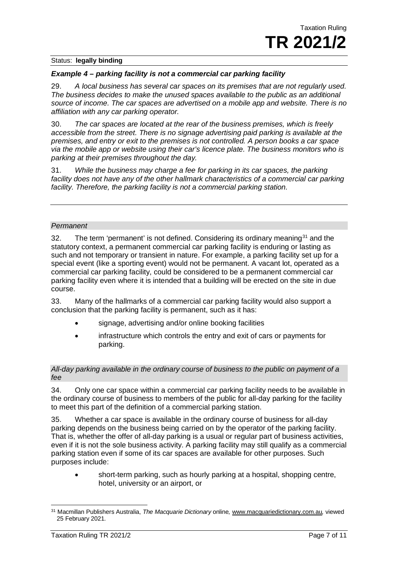#### *Example 4 – parking facility is not a commercial car parking facility*

29. *A local business has several car spaces on its premises that are not regularly used. The business decides to make the unused spaces available to the public as an additional source of income. The car spaces are advertised on a mobile app and website. There is no affiliation with any car parking operator.*

30. *The car spaces are located at the rear of the business premises, which is freely accessible from the street. There is no signage advertising paid parking is available at the premises, and entry or exit to the premises is not controlled. A person books a car space via the mobile app or website using their car's licence plate. The business monitors who is parking at their premises throughout the day.*

31. *While the business may charge a fee for parking in its car spaces, the parking*  facility does not have any of the other hallmark characteristics of a commercial car parking *facility. Therefore, the parking facility is not a commercial parking station.*

#### *Permanent*

32. The term 'permanent' is not defined. Considering its ordinary meaning  $31$  and the statutory context, a permanent commercial car parking facility is enduring or lasting as such and not temporary or transient in nature. For example, a parking facility set up for a special event (like a sporting event) would not be permanent. A vacant lot, operated as a commercial car parking facility, could be considered to be a permanent commercial car parking facility even where it is intended that a building will be erected on the site in due course.

33. Many of the hallmarks of a commercial car parking facility would also support a conclusion that the parking facility is permanent, such as it has:

- signage, advertising and/or online booking facilities
- infrastructure which controls the entry and exit of cars or payments for parking.

#### *All-day parking available in the ordinary course of business to the public on payment of a fee*

34. Only one car space within a commercial car parking facility needs to be available in the ordinary course of business to members of the public for all-day parking for the facility to meet this part of the definition of a commercial parking station.

35. Whether a car space is available in the ordinary course of business for all-day parking depends on the business being carried on by the operator of the parking facility. That is, whether the offer of all-day parking is a usual or regular part of business activities, even if it is not the sole business activity. A parking facility may still qualify as a commercial parking station even if some of its car spaces are available for other purposes. Such purposes include:

• short-term parking, such as hourly parking at a hospital, shopping centre, hotel, university or an airport, or

<span id="page-7-0"></span><sup>31</sup> Macmillan Publishers Australia, *The Macquarie Dictionary* online*,* [www.macquariedictionary.com.au](http://www.macquariedictionary.com.au/)*,* viewed 25 February 2021.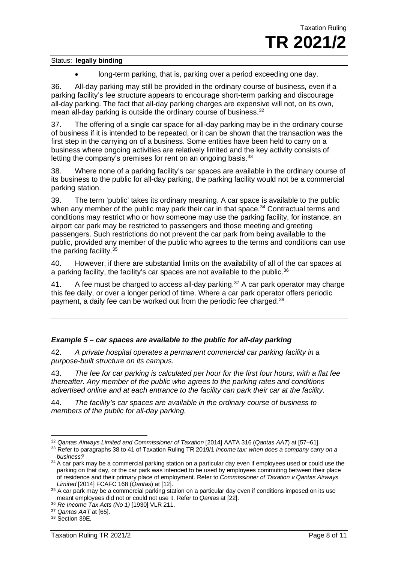• long-term parking, that is, parking over a period exceeding one day.

36. All-day parking may still be provided in the ordinary course of business, even if a parking facility's fee structure appears to encourage short-term parking and discourage all-day parking. The fact that all-day parking charges are expensive will not, on its own, mean all-day parking is outside the ordinary course of business.<sup>[32](#page-8-0)</sup>

37. The offering of a single car space for all-day parking may be in the ordinary course of business if it is intended to be repeated, or it can be shown that the transaction was the first step in the carrying on of a business. Some entities have been held to carry on a business where ongoing activities are relatively limited and the key activity consists of letting the company's premises for rent on an ongoing basis.<sup>[33](#page-8-1)</sup>

38. Where none of a parking facility's car spaces are available in the ordinary course of its business to the public for all-day parking, the parking facility would not be a commercial parking station.

39. The term 'public' takes its ordinary meaning. A car space is available to the public when any member of the public may park their car in that space.<sup>[34](#page-8-2)</sup> Contractual terms and conditions may restrict who or how someone may use the parking facility, for instance, an airport car park may be restricted to passengers and those meeting and greeting passengers. Such restrictions do not prevent the car park from being available to the public, provided any member of the public who agrees to the terms and conditions can use the parking facility.<sup>[35](#page-8-3)</sup>

40. However, if there are substantial limits on the availability of all of the car spaces at a parking facility, the facility's car spaces are not available to the public.<sup>36</sup>

41. A fee must be charged to access all-day parking. $37$  A car park operator may charge this fee daily, or over a longer period of time. Where a car park operator offers periodic payment, a daily fee can be worked out from the periodic fee charged.<sup>[38](#page-8-6)</sup>

#### *Example 5 – car spaces are available to the public for all-day parking*

42. *A private hospital operates a permanent commercial car parking facility in a purpose-built structure on its campus.*

43. *The fee for car parking is calculated per hour for the first four hours, with a flat fee thereafter. Any member of the public who agrees to the parking rates and conditions advertised online and at each entrance to the facility can park their car at the facility.*

44. *The facility's car spaces are available in the ordinary course of business to members of the public for all-day parking.*

<span id="page-8-0"></span><sup>&</sup>lt;sup>32</sup> Qantas Airways Limited and Commissioner of Taxation [2014] AATA 316 (Qantas AAT) at [57–61].

<span id="page-8-1"></span><sup>33</sup> Refer to paragraphs 38 to 41 of Taxation Ruling TR 2019/1 *Income tax: when does a company carry on a business?*

<span id="page-8-2"></span><sup>&</sup>lt;sup>34</sup> A car park may be a commercial parking station on a particular day even if employees used or could use the parking on that day, or the car park was intended to be used by employees commuting between their place of residence and their primary place of employment. Refer to *Commissioner of Taxation v Qantas Airways Limited* [2014] FCAFC 168 (*Qantas*) at [12].

<span id="page-8-3"></span><sup>35</sup> A car park may be a commercial parking station on a particular day even if conditions imposed on its use meant employees did not or could not use it. Refer to *Qantas* at [22].

<span id="page-8-4"></span><sup>36</sup> *Re Income Tax Acts (No 1)* [1930] VLR 211.

<span id="page-8-5"></span><sup>37</sup> *Qantas AAT* at [65].

<span id="page-8-6"></span><sup>38</sup> Section 39E.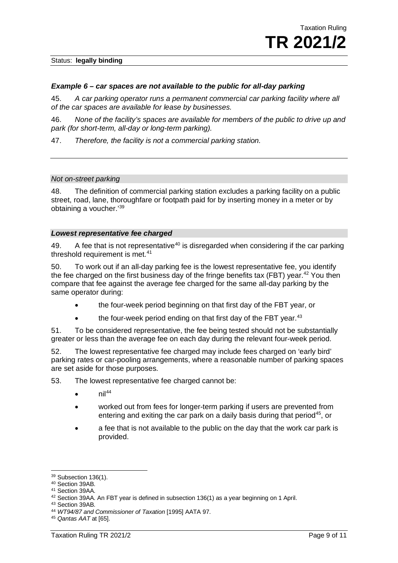#### *Example 6 – car spaces are not available to the public for all-day parking*

45. *A car parking operator runs a permanent commercial car parking facility where all of the car spaces are available for lease by businesses.*

46. *None of the facility's spaces are available for members of the public to drive up and park (for short-term, all-day or long-term parking).*

47. *Therefore, the facility is not a commercial parking station.*

#### *Not on-street parking*

48. The definition of commercial parking station excludes a parking facility on a public street, road, lane, thoroughfare or footpath paid for by inserting money in a meter or by obtaining a voucher.' [39](#page-9-0)

#### *Lowest representative fee charged*

49. A fee that is not representative<sup>[40](#page-9-1)</sup> is disregarded when considering if the car parking threshold requirement is met.<sup>[41](#page-9-2)</sup>

50. To work out if an all-day parking fee is the lowest representative fee, you identify the fee charged on the first business day of the fringe benefits tax (FBT) year.<sup>42</sup> You then compare that fee against the average fee charged for the same all-day parking by the same operator during:

- the four-week period beginning on that first day of the FBT year, or
- the four-week period ending on that first day of the FBT year. $43$

51. To be considered representative, the fee being tested should not be substantially greater or less than the average fee on each day during the relevant four-week period.

52. The lowest representative fee charged may include fees charged on 'early bird' parking rates or car-pooling arrangements, where a reasonable number of parking spaces are set aside for those purposes.

53. The lowest representative fee charged cannot be:

- nil[44](#page-9-5)
- worked out from fees for longer-term parking if users are prevented from entering and exiting the car park on a daily basis during that period<sup>[45](#page-9-6)</sup>, or
- a fee that is not available to the public on the day that the work car park is provided.

<span id="page-9-0"></span><sup>39</sup> Subsection 136(1).

<span id="page-9-1"></span><sup>40</sup> Section 39AB.

<span id="page-9-2"></span><sup>41</sup> Section 39AA.

<span id="page-9-3"></span><sup>42</sup> Section 39AA. An FBT year is defined in subsection 136(1) as a year beginning on 1 April.

<span id="page-9-4"></span><sup>43</sup> Section 39AB.

<span id="page-9-5"></span><sup>44</sup> *WT94/87 and Commissioner of Taxation* [1995] AATA 97.

<span id="page-9-6"></span><sup>45</sup> *Qantas AAT* at [65].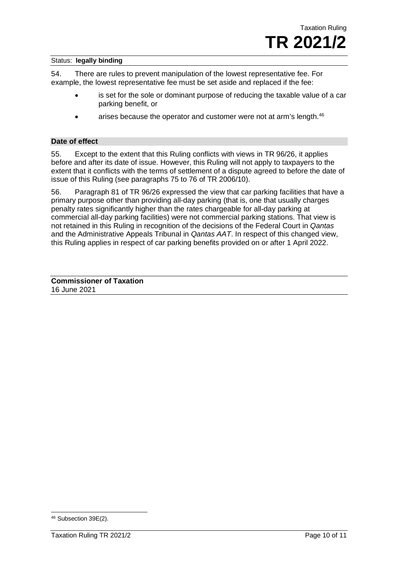54. There are rules to prevent manipulation of the lowest representative fee. For example, the lowest representative fee must be set aside and replaced if the fee:

- is set for the sole or dominant purpose of reducing the taxable value of a car parking benefit, or
- arises because the operator and customer were not at arm's length.<sup>46</sup>

#### **Date of effect**

55. Except to the extent that this Ruling conflicts with views in TR 96/26, it applies before and after its date of issue. However, this Ruling will not apply to taxpayers to the extent that it conflicts with the terms of settlement of a dispute agreed to before the date of issue of this Ruling (see paragraphs 75 to 76 of TR 2006/10).

56. Paragraph 81 of TR 96/26 expressed the view that car parking facilities that have a primary purpose other than providing all-day parking (that is, one that usually charges penalty rates significantly higher than the rates chargeable for all-day parking at commercial all-day parking facilities) were not commercial parking stations. That view is not retained in this Ruling in recognition of the decisions of the Federal Court in *Qantas* and the Administrative Appeals Tribunal in *Qantas AAT*. In respect of this changed view, this Ruling applies in respect of car parking benefits provided on or after 1 April 2022.

**Commissioner of Taxation** 16 June 2021

<span id="page-10-0"></span><sup>46</sup> Subsection 39E(2).